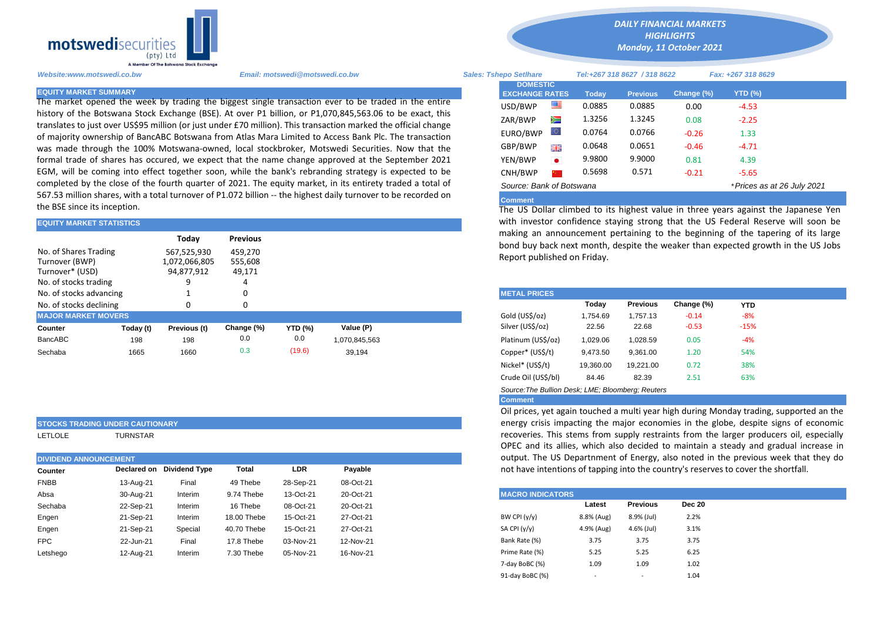

The market opened the week by trading the biggest single transaction ever to be traded in the entire history of the Botswana Stock Exchange (BSE). At over P1 billion, or P1,070,845,563.06 to be exact, this translates to just over US\$95 million (or just under £70 million). This transaction marked the official change of majority ownership of BancABC Botswana from Atlas Mara Limited to Access Bank Plc. The transaction was made through the 100% Motswana-owned, local stockbroker, Motswedi Securities. Now that the formal trade of shares has occured, we expect that the name change approved at the September 2021 EGM, will be coming into effect together soon, while the bank's rebranding strategy is expected to be completed by the close of the fourth quarter of 2021. The equity market, in its entirety traded a total of 567.53 million shares, with a total turnover of P1.072 billion -- the highest daily turnover to be recorded on the BSE since its inception.

| <b>EQUITY MARKET STATISTICS</b>                                                     |           |                                            |                              | with investor confidence staying strong that the US Federal Reser |               |                                                                                                                                     |                             |          |                 |            |            |  |  |
|-------------------------------------------------------------------------------------|-----------|--------------------------------------------|------------------------------|-------------------------------------------------------------------|---------------|-------------------------------------------------------------------------------------------------------------------------------------|-----------------------------|----------|-----------------|------------|------------|--|--|
|                                                                                     |           | Today                                      | <b>Previous</b>              |                                                                   |               | making an announcement pertaining to the beginning of the taper<br>bond buy back next month, despite the weaker than expected growt |                             |          |                 |            |            |  |  |
| No. of Shares Trading<br>Turnover (BWP)<br>Turnover* (USD)<br>No. of stocks trading |           | 567,525,930<br>1,072,066,805<br>94,877,912 | 459.270<br>555,608<br>49,171 |                                                                   |               |                                                                                                                                     | Report published on Friday. |          |                 |            |            |  |  |
| No. of stocks advancing                                                             |           |                                            |                              |                                                                   |               |                                                                                                                                     | <b>METAL PRICES</b>         |          |                 |            |            |  |  |
| No. of stocks declining                                                             |           |                                            |                              |                                                                   |               |                                                                                                                                     |                             | Today    | <b>Previous</b> | Change (%) | <b>YTD</b> |  |  |
| <b>MAJOR MARKET MOVERS</b>                                                          |           |                                            |                              |                                                                   |               |                                                                                                                                     | Gold (US\$/oz)              | 1,754.69 | 1.757.13        | $-0.14$    | -8%        |  |  |
| <b>Counter</b>                                                                      | Today (t) | Previous (t)                               | Change (%)                   | <b>YTD (%)</b>                                                    | Value (P)     |                                                                                                                                     | Silver (US\$/oz)            | 22.56    | 22.68           | $-0.53$    | $-15%$     |  |  |
| BancABC                                                                             | 198       | 198                                        | 0.0                          | 0.0                                                               | 1,070,845,563 |                                                                                                                                     | Platinum (US\$/oz)          | 1,029.06 | 1,028.59        | 0.05       | $-4%$      |  |  |
| Sechaba                                                                             | 1665      | 1660                                       | 0.3                          | (19.6)                                                            | 39,194        |                                                                                                                                     | Copper* (US\$/t)            | 9,473.50 | 9,361.00        | 1.20       | 54%        |  |  |

## **STOCKS TRADING UNDER CAUTIONARY** LETLOLE TURNSTAR

|             | <b>DIVIDEND ANNOUNCEMENT</b> |                      |             |            |           |  |  |  |  |  |
|-------------|------------------------------|----------------------|-------------|------------|-----------|--|--|--|--|--|
| Counter     | Declared on                  | <b>Dividend Type</b> | Total       | <b>LDR</b> | Payable   |  |  |  |  |  |
| <b>FNBB</b> | 13-Aug-21                    | Final                | 49 Thebe    | 28-Sep-21  | 08-Oct-21 |  |  |  |  |  |
| Absa        | 30-Aug-21                    | Interim              | 9.74 Thebe  | 13-Oct-21  | 20-Oct-21 |  |  |  |  |  |
| Sechaba     | 22-Sep-21                    | Interim              | 16 Thebe    | 08-Oct-21  | 20-Oct-21 |  |  |  |  |  |
| Engen       | 21-Sep-21                    | Interim              | 18.00 Thebe | 15-Oct-21  | 27-Oct-21 |  |  |  |  |  |
| Engen       | 21-Sep-21                    | Special              | 40.70 Thebe | 15-Oct-21  | 27-Oct-21 |  |  |  |  |  |
| FPC         | 22-Jun-21                    | Final                | 17.8 Thebe  | 03-Nov-21  | 12-Nov-21 |  |  |  |  |  |
| Letshego    | 12-Aug-21                    | Interim              | 7.30 Thebe  | 05-Nov-21  | 16-Nov-21 |  |  |  |  |  |

*DAILY FINANCIAL MARKETS HIGHLIGHTS Monday, 11 October 2021* 

| Website:www.motswedi.co.bw   | Email: motswedi@motswedi.co.bw                                                                                                                                                                                                | <b>Sales: Tshepo Setlhare</b>            |           |              | Tel:+267 318 8627 / 318 8622 |            | Fax: +267 318 8629          |
|------------------------------|-------------------------------------------------------------------------------------------------------------------------------------------------------------------------------------------------------------------------------|------------------------------------------|-----------|--------------|------------------------------|------------|-----------------------------|
| <b>EQUITY MARKET SUMMARY</b> |                                                                                                                                                                                                                               | <b>DOMESTIC</b><br><b>EXCHANGE RATES</b> |           | <b>Today</b> | <b>Previous</b>              | Change (%) | $YTD$ (%)                   |
|                              | The market opened the week by trading the biggest single transaction ever to be traded in the entire                                                                                                                          | USD/BWP                                  | ▀         | 0.0885       | 0.0885                       | 0.00       | $-4.53$                     |
|                              | history of the Botswana Stock Exchange (BSE). At over P1 billion, or P1,070,845,563.06 to be exact, this<br>translates to just over US\$95 million (or just under £70 million). This transaction marked the official change   | ZAR/BWP                                  | Ň         | 1.3256       | 1.3245                       | 0.08       | $-2.25$                     |
|                              | of majority ownership of BancABC Botswana from Atlas Mara Limited to Access Bank Plc. The transaction                                                                                                                         | EURO/BWP                                 |           | 0.0764       | 0.0766                       | $-0.26$    | 1.33                        |
|                              | was made through the 100% Motswana-owned, local stockbroker, Motswedi Securities. Now that the                                                                                                                                | GBP/BWP                                  | 읡뜭        | 0.0648       | 0.0651                       | $-0.46$    | $-4.71$                     |
|                              | formal trade of shares has occured, we expect that the name change approved at the September 2021                                                                                                                             | YEN/BWP                                  | $\bullet$ | 9.9800       | 9.9000                       | 0.81       | 4.39                        |
|                              | EGM, will be coming into effect together soon, while the bank's rebranding strategy is expected to be                                                                                                                         | CNH/BWP                                  |           | 0.5698       | 0.571                        | $-0.21$    | $-5.65$                     |
|                              | completed by the close of the fourth quarter of 2021. The equity market, in its entirety traded a total of<br>$ECI$ E2 million shares, with a total turnover of D1.072 billion . the bighest daily turnover to be recorded on | Source: Bank of Botswana                 |           |              |                              |            | * Prices as at 26 July 2021 |
|                              |                                                                                                                                                                                                                               |                                          |           |              |                              |            |                             |

## **Comment**

The US Dollar climbed to its highest value in three years against the Japanese Yen with investor confidence staying strong that the US Federal Reserve will soon be making an announcement pertaining to the beginning of the tapering of its large bond buy back next month, despite the weaker than expected growth in the US Jobs Report published on Friday.

| <b>METAL PRICES</b>                               |           |                 |            |            |  |  |  |  |  |  |
|---------------------------------------------------|-----------|-----------------|------------|------------|--|--|--|--|--|--|
|                                                   | Today     | <b>Previous</b> | Change (%) | <b>YTD</b> |  |  |  |  |  |  |
| Gold (US\$/oz)                                    | 1.754.69  | 1.757.13        | $-0.14$    | -8%        |  |  |  |  |  |  |
| Silver (US\$/oz)                                  | 22.56     | 22.68           | $-0.53$    | $-15%$     |  |  |  |  |  |  |
| Platinum (US\$/oz)                                | 1.029.06  | 1,028.59        | 0.05       | -4%        |  |  |  |  |  |  |
| Copper* (US\$/t)                                  | 9,473.50  | 9.361.00        | 1.20       | 54%        |  |  |  |  |  |  |
| Nickel* (US\$/t)                                  | 19,360.00 | 19,221.00       | 0.72       | 38%        |  |  |  |  |  |  |
| Crude Oil (US\$/bl)                               | 84.46     | 82.39           | 2.51       | 63%        |  |  |  |  |  |  |
| Source: The Bullion Desk: LME: Bloomberg: Reuters |           |                 |            |            |  |  |  |  |  |  |

**Comment**

Oil prices, yet again touched a multi year high during Monday trading, supported an the energy crisis impacting the major economies in the globe, despite signs of economic recoveries. This stems from supply restraints from the larger producers oil, especially OPEC and its allies, which also decided to maintain a steady and gradual increase in output. The US Departnment of Energy, also noted in the previous week that they do not have intentions of tapping into the country's reservesto cover the shortfall.

| <b>MACRO INDICATORS</b> |            |                 |               |  |  |  |  |  |  |
|-------------------------|------------|-----------------|---------------|--|--|--|--|--|--|
|                         | Latest     | <b>Previous</b> | <b>Dec 20</b> |  |  |  |  |  |  |
| BW CPI $(y/y)$          | 8.8% (Aug) | 8.9% (Jul)      | 2.2%          |  |  |  |  |  |  |
| SA CPI $(y/y)$          | 4.9% (Aug) | 4.6% (Jul)      | 3.1%          |  |  |  |  |  |  |
| Bank Rate (%)           | 3.75       | 3.75            | 3.75          |  |  |  |  |  |  |
| Prime Rate (%)          | 5.25       | 5.25            | 6.25          |  |  |  |  |  |  |
| 7-day BoBC (%)          | 1.09       | 1.09            | 1.02          |  |  |  |  |  |  |
| 91-day BoBC (%)         | -          | -               | 1.04          |  |  |  |  |  |  |